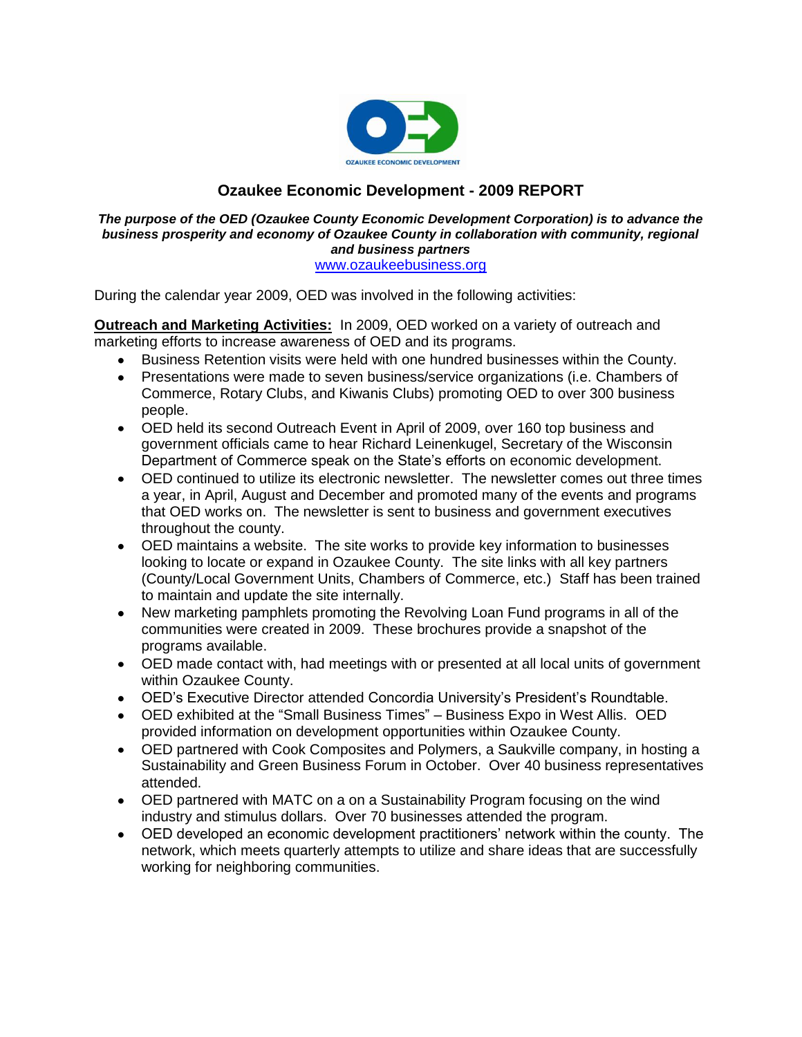

# **Ozaukee Economic Development - 2009 REPORT**

#### *The purpose of the OED (Ozaukee County Economic Development Corporation) is to advance the business prosperity and economy of Ozaukee County in collaboration with community, regional and business partners* [www.ozaukeebusiness.org](http://www.ozaukeebusiness.org/)

During the calendar year 2009, OED was involved in the following activities:

**Outreach and Marketing Activities:** In 2009, OED worked on a variety of outreach and marketing efforts to increase awareness of OED and its programs.

- Business Retention visits were held with one hundred businesses within the County.
- Presentations were made to seven business/service organizations (i.e. Chambers of Commerce, Rotary Clubs, and Kiwanis Clubs) promoting OED to over 300 business people.
- OED held its second Outreach Event in April of 2009, over 160 top business and government officials came to hear Richard Leinenkugel, Secretary of the Wisconsin Department of Commerce speak on the State's efforts on economic development.
- OED continued to utilize its electronic newsletter. The newsletter comes out three times a year, in April, August and December and promoted many of the events and programs that OED works on. The newsletter is sent to business and government executives throughout the county.
- OED maintains a website. The site works to provide key information to businesses looking to locate or expand in Ozaukee County. The site links with all key partners (County/Local Government Units, Chambers of Commerce, etc.) Staff has been trained to maintain and update the site internally.
- New marketing pamphlets promoting the Revolving Loan Fund programs in all of the communities were created in 2009. These brochures provide a snapshot of the programs available.
- OED made contact with, had meetings with or presented at all local units of government within Ozaukee County.
- OED's Executive Director attended Concordia University's President's Roundtable.
- OED exhibited at the "Small Business Times" Business Expo in West Allis. OED provided information on development opportunities within Ozaukee County.
- OED partnered with Cook Composites and Polymers, a Saukville company, in hosting a Sustainability and Green Business Forum in October. Over 40 business representatives attended.
- OED partnered with MATC on a on a Sustainability Program focusing on the wind industry and stimulus dollars. Over 70 businesses attended the program.
- OED developed an economic development practitioners' network within the county. The network, which meets quarterly attempts to utilize and share ideas that are successfully working for neighboring communities.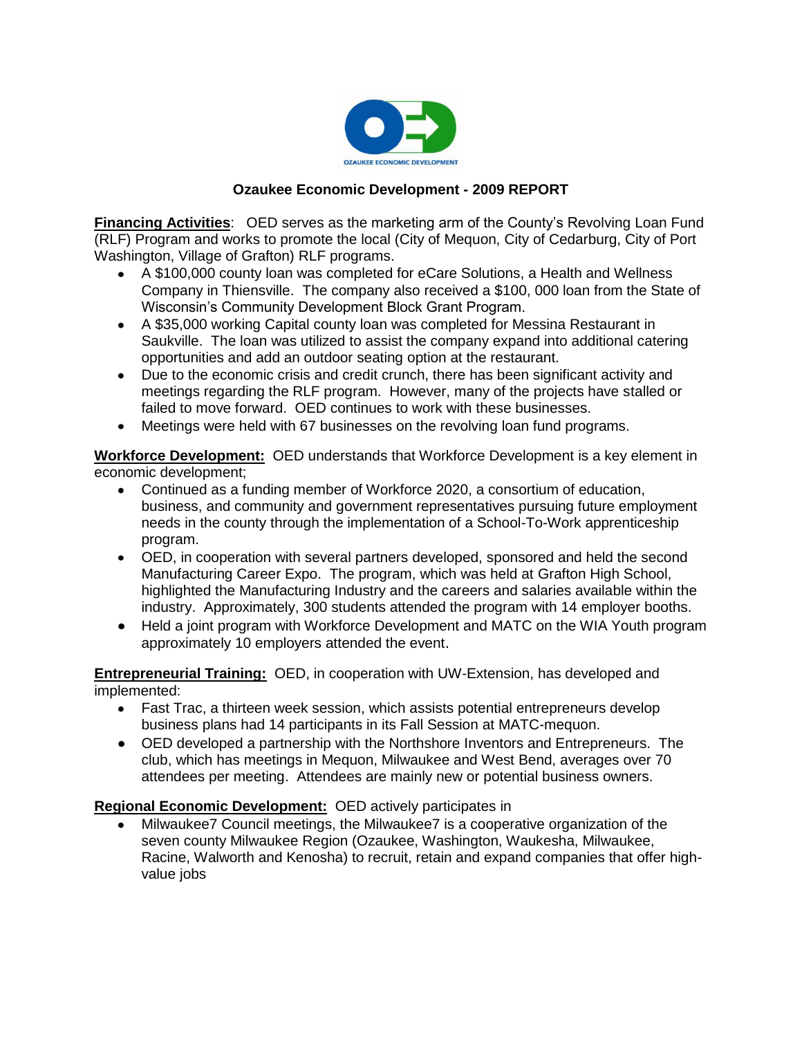

## **Ozaukee Economic Development - 2009 REPORT**

**Financing Activities**: OED serves as the marketing arm of the County's Revolving Loan Fund (RLF) Program and works to promote the local (City of Mequon, City of Cedarburg, City of Port Washington, Village of Grafton) RLF programs.

- A \$100,000 county loan was completed for eCare Solutions, a Health and Wellness Company in Thiensville. The company also received a \$100, 000 loan from the State of Wisconsin's Community Development Block Grant Program.
- A \$35,000 working Capital county loan was completed for Messina Restaurant in Saukville. The loan was utilized to assist the company expand into additional catering opportunities and add an outdoor seating option at the restaurant.
- Due to the economic crisis and credit crunch, there has been significant activity and meetings regarding the RLF program. However, many of the projects have stalled or failed to move forward. OED continues to work with these businesses.
- Meetings were held with 67 businesses on the revolving loan fund programs.  $\bullet$

**Workforce Development:** OED understands that Workforce Development is a key element in economic development;

- Continued as a funding member of Workforce 2020, a consortium of education, business, and community and government representatives pursuing future employment needs in the county through the implementation of a School-To-Work apprenticeship program.
- OED, in cooperation with several partners developed, sponsored and held the second Manufacturing Career Expo. The program, which was held at Grafton High School, highlighted the Manufacturing Industry and the careers and salaries available within the industry. Approximately, 300 students attended the program with 14 employer booths.
- Held a joint program with Workforce Development and MATC on the WIA Youth program approximately 10 employers attended the event.

**Entrepreneurial Training:** OED, in cooperation with UW-Extension, has developed and implemented:

- Fast Trac, a thirteen week session, which assists potential entrepreneurs develop business plans had 14 participants in its Fall Session at MATC-mequon.
- OED developed a partnership with the Northshore Inventors and Entrepreneurs. The club, which has meetings in Mequon, Milwaukee and West Bend, averages over 70 attendees per meeting. Attendees are mainly new or potential business owners.

### **Regional Economic Development:** OED actively participates in

Milwaukee7 Council meetings, the Milwaukee7 is a cooperative organization of the seven county Milwaukee Region (Ozaukee, Washington, Waukesha, Milwaukee, Racine, Walworth and Kenosha) to recruit, retain and expand companies that offer highvalue jobs